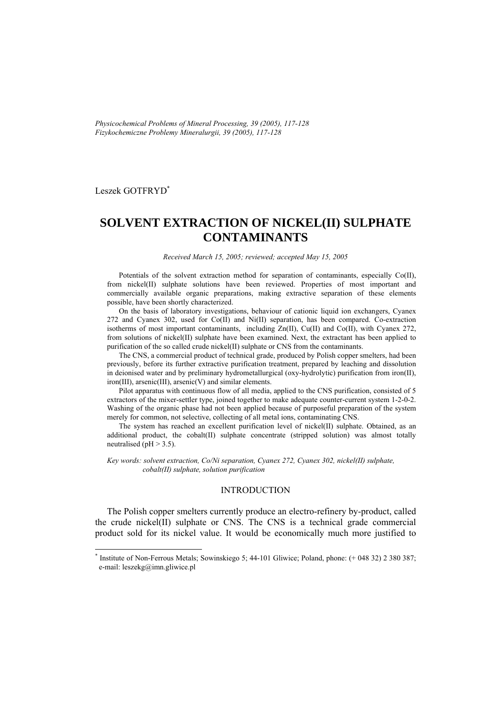*Physicochemical Problems of Mineral Processing, 39 (2005), 117-128 Fizykochemiczne Problemy Mineralurgii, 39 (2005), 117-128* 

Leszek GOTFRYD\*

l

# **SOLVENT EXTRACTION OF NICKEL(II) SULPHATE CONTAMINANTS**

*Received March 15, 2005; reviewed; accepted May 15, 2005* 

Potentials of the solvent extraction method for separation of contaminants, especially Co(II), from nickel(II) sulphate solutions have been reviewed. Properties of most important and commercially available organic preparations, making extractive separation of these elements possible, have been shortly characterized.

On the basis of laboratory investigations, behaviour of cationic liquid ion exchangers, Cyanex 272 and Cyanex 302, used for Co(II) and Ni(II) separation, has been compared. Co-extraction isotherms of most important contaminants, including Zn(II), Cu(II) and Co(II), with Cyanex 272, from solutions of nickel(II) sulphate have been examined. Next, the extractant has been applied to purification of the so called crude nickel(II) sulphate or CNS from the contaminants.

The CNS, a commercial product of technical grade, produced by Polish copper smelters, had been previously, before its further extractive purification treatment, prepared by leaching and dissolution in deionised water and by preliminary hydrometallurgical (oxy-hydrolytic) purification from iron(II), iron(III), arsenic(III), arsenic(V) and similar elements.

Pilot apparatus with continuous flow of all media, applied to the CNS purification, consisted of 5 extractors of the mixer-settler type, joined together to make adequate counter-current system 1-2-0-2. Washing of the organic phase had not been applied because of purposeful preparation of the system merely for common, not selective, collecting of all metal ions, contaminating CNS.

The system has reached an excellent purification level of nickel(II) sulphate. Obtained, as an additional product, the cobalt(II) sulphate concentrate (stripped solution) was almost totally neutralised ( $pH > 3.5$ ).

*Key words: solvent extraction, Co/Ni separation, Cyanex 272, Cyanex 302, nickel(II) sulphate, cobalt(II) sulphate, solution purification* 

## INTRODUCTION

The Polish copper smelters currently produce an electro-refinery by-product, called the crude nickel(II) sulphate or CNS. The CNS is a technical grade commercial product sold for its nickel value. It would be economically much more justified to

<sup>\*</sup> Institute of Non-Ferrous Metals; Sowinskiego 5; 44-101 Gliwice; Poland, phone: (+ 048 32) 2 380 387; e-mail: leszekg@imn.gliwice.pl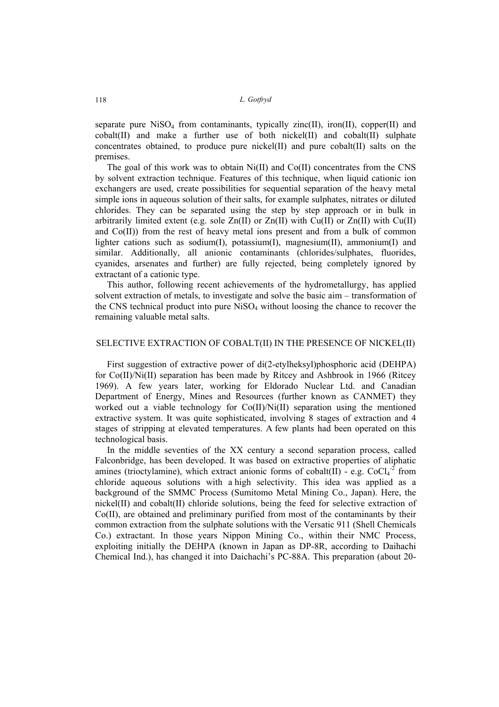separate pure NiSO<sub>4</sub> from contaminants, typically zinc(II), iron(II), copper(II) and cobalt(II) and make a further use of both nickel(II) and cobalt(II) sulphate concentrates obtained, to produce pure nickel(II) and pure cobalt(II) salts on the premises.

The goal of this work was to obtain  $Ni(II)$  and  $Co(II)$  concentrates from the CNS by solvent extraction technique. Features of this technique, when liquid cationic ion exchangers are used, create possibilities for sequential separation of the heavy metal simple ions in aqueous solution of their salts, for example sulphates, nitrates or diluted chlorides. They can be separated using the step by step approach or in bulk in arbitrarily limited extent (e.g. sole  $Zn(II)$  or  $Zn(II)$  with Cu(II) or  $Zn(II)$  with Cu(II) and  $Co(II)$ ) from the rest of heavy metal ions present and from a bulk of common lighter cations such as sodium(I), potassium(I), magnesium(II), ammonium(I) and similar. Additionally, all anionic contaminants (chlorides/sulphates, fluorides, cyanides, arsenates and further) are fully rejected, being completely ignored by extractant of a cationic type.

This author, following recent achievements of the hydrometallurgy, has applied solvent extraction of metals, to investigate and solve the basic aim – transformation of the CNS technical product into pure NiSO4 without loosing the chance to recover the remaining valuable metal salts.

## SELECTIVE EXTRACTION OF COBALT(II) IN THE PRESENCE OF NICKEL(II)

First suggestion of extractive power of di(2-etylheksyl)phosphoric acid (DEHPA) for Co(II)/Ni(II) separation has been made by Ritcey and Ashbrook in 1966 (Ritcey 1969). A few years later, working for Eldorado Nuclear Ltd. and Canadian Department of Energy, Mines and Resources (further known as CANMET) they worked out a viable technology for Co(II)/Ni(II) separation using the mentioned extractive system. It was quite sophisticated, involving 8 stages of extraction and 4 stages of stripping at elevated temperatures. A few plants had been operated on this technological basis.

In the middle seventies of the XX century a second separation process, called Falconbridge, has been developed. It was based on extractive properties of aliphatic amines (trioctylamine), which extract anionic forms of cobalt(II) - e.g.  $CoCl<sub>4</sub>$ <sup>-2</sup> from chloride aqueous solutions with a high selectivity. This idea was applied as a background of the SMMC Process (Sumitomo Metal Mining Co., Japan). Here, the nickel(II) and cobalt(II) chloride solutions, being the feed for selective extraction of Co(II), are obtained and preliminary purified from most of the contaminants by their common extraction from the sulphate solutions with the Versatic 911 (Shell Chemicals Co.) extractant. In those years Nippon Mining Co., within their NMC Process, exploiting initially the DEHPA (known in Japan as DP-8R, according to Daihachi Chemical Ind.), has changed it into Daichachi's PC-88A. This preparation (about 20-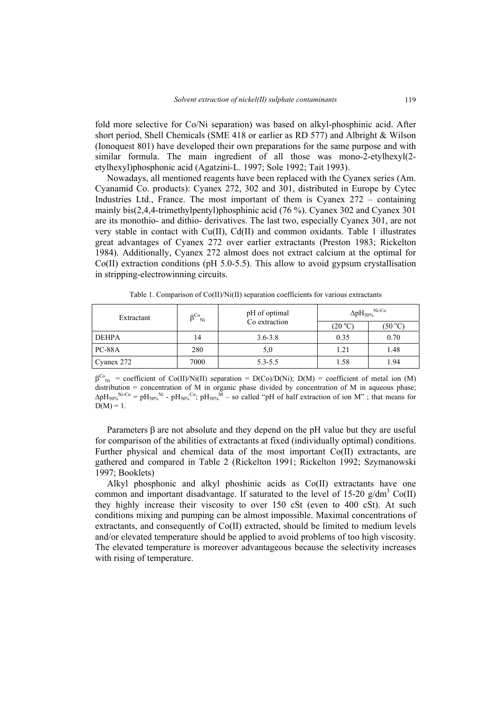fold more selective for Co/Ni separation) was based on alkyl-phosphinic acid. After short period, Shell Chemicals (SME 418 or earlier as RD 577) and Albright & Wilson (Ionoquest 801) have developed their own preparations for the same purpose and with similar formula. The main ingredient of all those was mono-2-etylhexyl(2 etylhexyl)phosphonic acid (Agatzini-L. 1997; Sole 1992; Tait 1993).

Nowadays, all mentioned reagents have been replaced with the Cyanex series (Am. Cyanamid Co. products): Cyanex 272, 302 and 301, distributed in Europe by Cytec Industries Ltd., France. The most important of them is Cyanex 272 – containing mainly bis(2,4,4-trimethylpentyl)phosphinic acid (76 %). Cyanex 302 and Cyanex 301 are its monothio- and dithio- derivatives. The last two, especially Cyanex 301, are not very stable in contact with Cu(II), Cd(II) and common oxidants. Table 1 illustrates great advantages of Cyanex 272 over earlier extractants (Preston 1983; Rickelton 1984). Additionally, Cyanex 272 almost does not extract calcium at the optimal for  $Co(II)$  extraction conditions (pH 5.0-5.5). This allow to avoid gypsum crystallisation in stripping-electrowinning circuits.

| Extractant    | οCo<br>Ni | pH of optimal | $\Delta$ p $H_{50\%}$ <sup>Ni-Co</sup> |         |  |
|---------------|-----------|---------------|----------------------------------------|---------|--|
|               |           | Co extraction | (20 °C)                                | (50 °C) |  |
| <b>DEHPA</b>  | 14        | $3.6 - 3.8$   | 0.35                                   | 0.70    |  |
| <b>PC-88A</b> | 280       | 5,0           | 1.21                                   | 1.48    |  |
| Cyanex 272    | 7000      | $5.3 - 5.5$   | 1.58                                   | 1.94    |  |

Table 1. Comparison of Co(II)/Ni(II) separation coefficients for various extractants

 $\beta^{C_{\rm Ni}}$  = coefficient of Co(II)/Ni(II) separation = D(Co)/D(Ni); D(M) = coefficient of metal ion (M) distribution = concentration of M in organic phase divided by concentration of M in aqueous phase;  $\Delta \text{pH}_{50\%}^{\text{Ni-Co}} = \text{pH}_{50\%}^{\text{Ni}} - \text{pH}_{50\%}^{\text{Co}}$ ;  $\text{pH}_{50\%}^{\text{Ni}}$  – so called "pH of half extraction of ion M"; that means for  $D(M) = 1$ .

Parameters β are not absolute and they depend on the pH value but they are useful for comparison of the abilities of extractants at fixed (individually optimal) conditions. Further physical and chemical data of the most important Co(II) extractants, are gathered and compared in Table 2 (Rickelton 1991; Rickelton 1992; Szymanowski 1997; Booklets)

Alkyl phosphonic and alkyl phoshinic acids as Co(II) extractants have one common and important disadvantage. If saturated to the level of 15-20  $g/dm^3$  Co(II) they highly increase their viscosity to over 150 cSt (even to 400 cSt). At such conditions mixing and pumping can be almost impossible. Maximal concentrations of extractants, and consequently of Co(II) extracted, should be limited to medium levels and/or elevated temperature should be applied to avoid problems of too high viscosity. The elevated temperature is moreover advantageous because the selectivity increases with rising of temperature.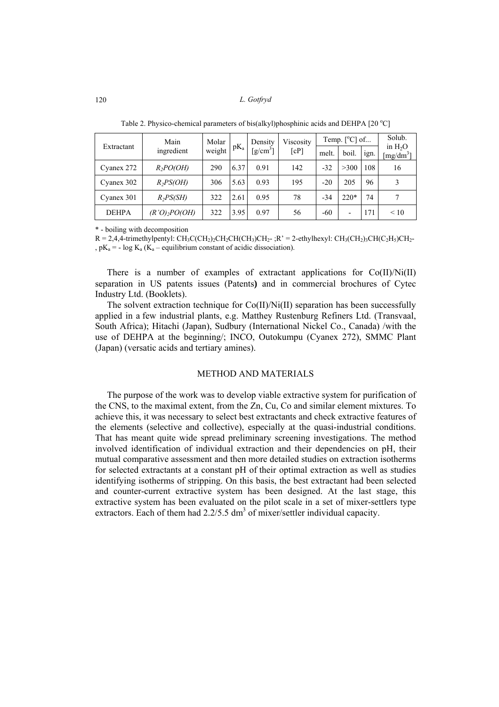| Extractant   | Main            | Molar  |        | Viscosity<br>Density          |      |       | Temp. [°C] of | Solub. |                                           |
|--------------|-----------------|--------|--------|-------------------------------|------|-------|---------------|--------|-------------------------------------------|
|              | ingredient      | weight | $pK_a$ | $\left[\frac{g}{cm^3}\right]$ | [cP] | melt. | boil.         | 1gn.   | in $H2O$<br>$\left[\text{mg/dm}^3\right]$ |
| Cyanex 272   | $R_2PO(OH)$     | 290    | 6.37   | 0.91                          | 142  | $-32$ | >300          | 108    | 16                                        |
| Cyanex 302   | $R_2PS(OH)$     | 306    | 5.63   | 0.93                          | 195  | $-20$ | 205           | 96     | 3                                         |
| Cyanex 301   | $R_2PS(SH)$     | 322    | 2.61   | 0.95                          | 78   | $-34$ | $220*$        | 74     |                                           |
| <b>DEHPA</b> | $(R'O)_2PO(OH)$ | 322    | 3.95   | 0.97                          | 56   | $-60$ |               | 171    | $\leq 10$                                 |

Table 2. Physico-chemical parameters of bis(alkyl)phosphinic acids and DEHPA  $[20 °C]$ 

\* - boiling with decomposition

 $R = 2,4,4$ -trimethylpentyl: CH<sub>3</sub>C(CH<sub>2</sub>)<sub>2</sub>CH(CH<sub>3</sub>)CH<sub>2</sub>-; $R' = 2$ -ethylhexyl: CH<sub>3</sub>(CH<sub>2</sub>)<sub>3</sub>CH(C<sub>2</sub>H<sub>2</sub>)CH<sub>2</sub>-,  $pK_a = -\log K_a$  (K<sub>a</sub> – equilibrium constant of acidic dissociation).

There is a number of examples of extractant applications for  $Co(II)/Ni(II)$ separation in US patents issues (Patents**)** and in commercial brochures of Cytec Industry Ltd. (Booklets).

The solvent extraction technique for Co(II)/Ni(II) separation has been successfully applied in a few industrial plants, e.g. Matthey Rustenburg Refiners Ltd. (Transvaal, South Africa); Hitachi (Japan), Sudbury (International Nickel Co., Canada) /with the use of DEHPA at the beginning/; INCO, Outokumpu (Cyanex 272), SMMC Plant (Japan) (versatic acids and tertiary amines).

## METHOD AND MATERIALS

The purpose of the work was to develop viable extractive system for purification of the CNS, to the maximal extent, from the Zn, Cu, Co and similar element mixtures. To achieve this, it was necessary to select best extractants and check extractive features of the elements (selective and collective), especially at the quasi-industrial conditions. That has meant quite wide spread preliminary screening investigations. The method involved identification of individual extraction and their dependencies on pH, their mutual comparative assessment and then more detailed studies on extraction isotherms for selected extractants at a constant pH of their optimal extraction as well as studies identifying isotherms of stripping. On this basis, the best extractant had been selected and counter-current extractive system has been designed. At the last stage, this extractive system has been evaluated on the pilot scale in a set of mixer-settlers type extractors. Each of them had  $2.2/5.5 \text{ dm}^3$  of mixer/settler individual capacity.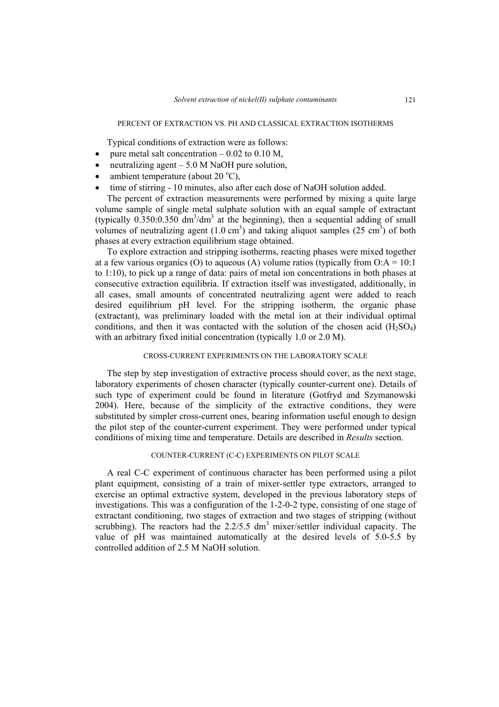### PERCENT OF EXTRACTION VS. PH AND CLASSICAL EXTRACTION ISOTHERMS

Typical conditions of extraction were as follows:

- pure metal salt concentration  $0.02$  to 0.10 M,
- neutralizing agent  $-5.0$  M NaOH pure solution,
- ambient temperature (about  $20^{\circ}$ C),
- time of stirring 10 minutes, also after each dose of NaOH solution added.

The percent of extraction measurements were performed by mixing a quite large volume sample of single metal sulphate solution with an equal sample of extractant (typically  $0.350:0.350 \text{ dm}^3/\text{dm}^3$  at the beginning), then a sequential adding of small volumes of neutralizing agent  $(1.0 \text{ cm}^3)$  and taking aliquot samples  $(25 \text{ cm}^3)$  of both phases at every extraction equilibrium stage obtained.

To explore extraction and stripping isotherms, reacting phases were mixed together at a few various organics (O) to aqueous (A) volume ratios (typically from  $O:A = 10:1$ to 1:10), to pick up a range of data: pairs of metal ion concentrations in both phases at consecutive extraction equilibria. If extraction itself was investigated, additionally, in all cases, small amounts of concentrated neutralizing agent were added to reach desired equilibrium pH level. For the stripping isotherm, the organic phase (extractant), was preliminary loaded with the metal ion at their individual optimal conditions, and then it was contacted with the solution of the chosen acid  $(H_2SO_4)$ with an arbitrary fixed initial concentration (typically 1.0 or 2.0 M).

#### CROSS-CURRENT EXPERIMENTS ON THE LABORATORY SCALE

The step by step investigation of extractive process should cover, as the next stage, laboratory experiments of chosen character (typically counter-current one). Details of such type of experiment could be found in literature (Gotfryd and Szymanowski 2004). Here, because of the simplicity of the extractive conditions, they were substituted by simpler cross-current ones, bearing information useful enough to design the pilot step of the counter-current experiment. They were performed under typical conditions of mixing time and temperature. Details are described in *Results* section.

#### COUNTER-CURRENT (C-C) EXPERIMENTS ON PILOT SCALE

A real C-C experiment of continuous character has been performed using a pilot plant equipment, consisting of a train of mixer-settler type extractors, arranged to exercise an optimal extractive system, developed in the previous laboratory steps of investigations. This was a configuration of the 1-2-0-2 type, consisting of one stage of extractant conditioning, two stages of extraction and two stages of stripping (without scrubbing). The reactors had the  $2.2/5.5$  dm<sup>3</sup> mixer/settler individual capacity. The value of pH was maintained automatically at the desired levels of 5.0-5.5 by controlled addition of 2.5 M NaOH solution.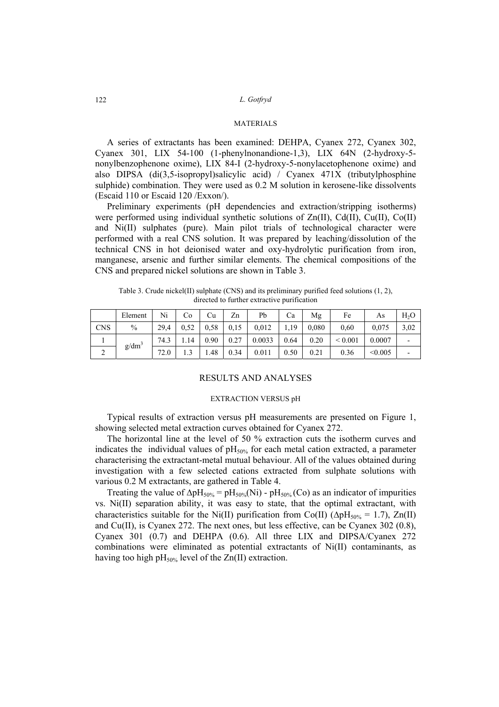## **MATERIALS**

A series of extractants has been examined: DEHPA, Cyanex 272, Cyanex 302, Cyanex 301, LIX 54-100 (1-phenylnonandione-1,3), LIX 64N (2-hydroxy-5 nonylbenzophenone oxime), LIX 84-I (2-hydroxy-5-nonylacetophenone oxime) and also DIPSA (di(3,5-isopropyl)salicylic acid) / Cyanex 471X (tributylphosphine sulphide) combination. They were used as 0.2 M solution in kerosene-like dissolvents (Escaid 110 or Escaid 120 /Exxon/).

Preliminary experiments (pH dependencies and extraction/stripping isotherms) were performed using individual synthetic solutions of  $Zn(II)$ ,  $Cd(II)$ ,  $Cu(II)$ ,  $Co(II)$ and Ni(II) sulphates (pure). Main pilot trials of technological character were performed with a real CNS solution. It was prepared by leaching/dissolution of the technical CNS in hot deionised water and oxy-hydrolytic purification from iron, manganese, arsenic and further similar elements. The chemical compositions of the CNS and prepared nickel solutions are shown in Table 3.

|            | Element       | Ni   | Co     | Cu   | Zn   | Pb     | Ca   | Mg    | Fe          | As      | $H_2O$ |
|------------|---------------|------|--------|------|------|--------|------|-------|-------------|---------|--------|
| <b>CNS</b> | $\frac{0}{0}$ | 29.4 | 0.52   | 0.58 | 0.15 | 0,012  | 1,19 | 0,080 | 0.60        | 0,075   | 3,02   |
|            |               | 74.3 | 1.14   | 0.90 | 0.27 | 0.0033 | 0.64 | 0.20  | ${}< 0.001$ | 0.0007  |        |
| ∠          | $g/dm^3$      | 72.0 | $\sim$ | 1.48 | 0.34 | 0.011  | 0.50 | 0.21  | 0.36        | < 0.005 |        |

Table 3. Crude nickel(II) sulphate (CNS) and its preliminary purified feed solutions (1, 2), directed to further extractive purification

## RESULTS AND ANALYSES

#### EXTRACTION VERSUS pH

Typical results of extraction versus pH measurements are presented on Figure 1, showing selected metal extraction curves obtained for Cyanex 272.

The horizontal line at the level of 50 % extraction cuts the isotherm curves and indicates the individual values of  $pH<sub>50%</sub>$  for each metal cation extracted, a parameter characterising the extractant-metal mutual behaviour. All of the values obtained during investigation with a few selected cations extracted from sulphate solutions with various 0.2 M extractants, are gathered in Table 4.

Treating the value of  $\Delta pH_{50\%} = pH_{50\%}(Ni) - pH_{50\%}(Co)$  as an indicator of impurities vs. Ni(II) separation ability, it was easy to state, that the optimal extractant, with characteristics suitable for the Ni(II) purification from Co(II) ( $\Delta pH_{50\%} = 1.7$ ), Zn(II) and Cu(II), is Cyanex 272. The next ones, but less effective, can be Cyanex 302 (0.8), Cyanex 301 (0.7) and DEHPA (0.6). All three LIX and DIPSA/Cyanex 272 combinations were eliminated as potential extractants of Ni(II) contaminants, as having too high  $pH_{50\%}$  level of the Zn(II) extraction.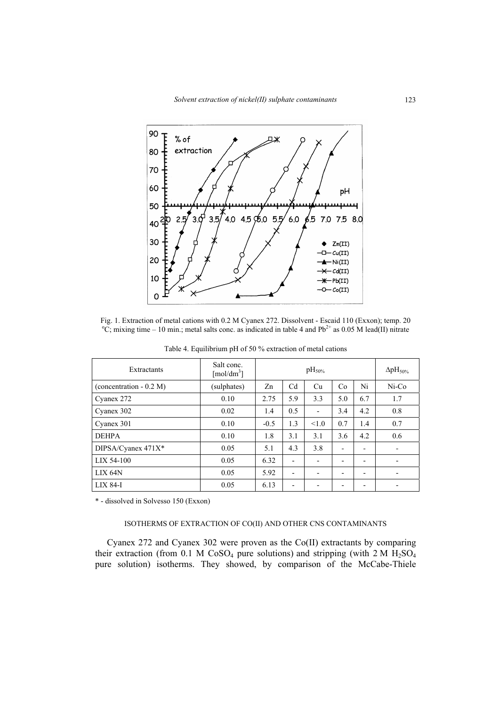

Fig. 1. Extraction of metal cations with 0.2 M Cyanex 272. Dissolvent - Escaid 110 (Exxon); temp. 20  ${}^{\circ}C$ ; mixing time – 10 min.; metal salts conc. as indicated in table 4 and Pb<sup>2+</sup> as 0.05 M lead(II) nitrate

| Extractants              | Salt conc.<br>[mol/dm <sup>3</sup> ] |        | $\rm{pH}_{50\%}$         |                          |     |                          | $\Delta$ pH <sub>50%</sub> |
|--------------------------|--------------------------------------|--------|--------------------------|--------------------------|-----|--------------------------|----------------------------|
| (concentration $-0.2$ M) | (sulphates)                          | Zn     | C <sub>d</sub>           | Cu                       | Co  | Ni                       | $Ni-Co$                    |
| Cyanex 272               | 0.10                                 | 2.75   | 5.9                      | 3.3                      | 5.0 | 6.7                      | 1.7                        |
| Cyanex 302               | 0.02                                 | 1.4    | 0.5                      | $\overline{\phantom{a}}$ | 3.4 | 4.2                      | 0.8                        |
| Cyanex 301               | 0.10                                 | $-0.5$ | 1.3                      | < 1.0                    | 0.7 | 1.4                      | 0.7                        |
| <b>DEHPA</b>             | 0.10                                 | 1.8    | 3.1                      | 3.1                      | 3.6 | 4.2                      | 0.6                        |
| DIPSA/Cyanex 471X*       | 0.05                                 | 5.1    | 4.3                      | 3.8                      | -   | $\overline{\phantom{a}}$ |                            |
| LIX 54-100               | 0.05                                 | 6.32   | $\overline{\phantom{0}}$ |                          | -   | $\overline{\phantom{0}}$ |                            |
| $LIX$ 64 $N$             | 0.05                                 | 5.92   | $\overline{\phantom{a}}$ | $\overline{\phantom{0}}$ | -   | ٠                        |                            |
| <b>LIX 84-I</b>          | 0.05                                 | 6.13   | -                        | $\overline{\phantom{0}}$ | -   | ٠                        |                            |

Table 4. Equilibrium pH of 50 % extraction of metal cations

\* - dissolved in Solvesso 150 (Exxon)

## ISOTHERMS OF EXTRACTION OF CO(II) AND OTHER CNS CONTAMINANTS

Cyanex 272 and Cyanex 302 were proven as the Co(II) extractants by comparing their extraction (from 0.1 M CoSO<sub>4</sub> pure solutions) and stripping (with  $2 M H_2SO_4$ pure solution) isotherms. They showed, by comparison of the McCabe-Thiele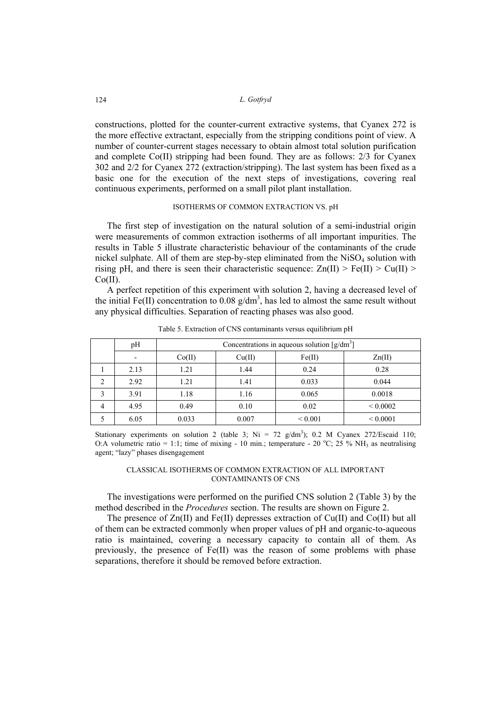constructions, plotted for the counter-current extractive systems, that Cyanex 272 is the more effective extractant, especially from the stripping conditions point of view. A number of counter-current stages necessary to obtain almost total solution purification and complete Co(II) stripping had been found. They are as follows: 2/3 for Cyanex 302 and 2/2 for Cyanex 272 (extraction/stripping). The last system has been fixed as a basic one for the execution of the next steps of investigations, covering real continuous experiments, performed on a small pilot plant installation.

## ISOTHERMS OF COMMON EXTRACTION VS. pH

The first step of investigation on the natural solution of a semi-industrial origin were measurements of common extraction isotherms of all important impurities. The results in Table 5 illustrate characteristic behaviour of the contaminants of the crude nickel sulphate. All of them are step-by-step eliminated from the  $NiSO<sub>4</sub>$  solution with rising pH, and there is seen their characteristic sequence:  $Zn(II) > Fe(II) > Cu(II) >$  $Co(II)$ .

A perfect repetition of this experiment with solution 2, having a decreased level of the initial Fe(II) concentration to 0.08  $g/dm^3$ , has led to almost the same result without any physical difficulties. Separation of reacting phases was also good.

|   | pН   | Concentrations in aqueous solution $[g/dm^3]$ |        |              |               |  |  |  |  |  |
|---|------|-----------------------------------------------|--------|--------------|---------------|--|--|--|--|--|
|   |      | Co(II)                                        | Cu(II) | Fe(II)       | Zn(II)        |  |  |  |  |  |
|   | 2.13 | 1.21                                          | 1.44   | 0.24         | 0.28          |  |  |  |  |  |
| 2 | 2.92 | 1.21                                          | 1.41   | 0.033        | 0.044         |  |  |  |  |  |
|   | 3.91 | 1.18                                          | 1.16   | 0.065        | 0.0018        |  |  |  |  |  |
| 4 | 4.95 | 0.49                                          | 0.10   | 0.02         | ${}_{0.0002}$ |  |  |  |  |  |
|   | 6.05 | 0.033                                         | 0.007  | ${}_{0.001}$ | ${}< 0.0001$  |  |  |  |  |  |

Table 5. Extraction of CNS contaminants versus equilibrium pH

Stationary experiments on solution 2 (table 3; Ni = 72 g/dm<sup>3</sup>); 0.2 M Cyanex 272/Escaid 110; O:A volumetric ratio = 1:1; time of mixing - 10 min.; temperature - 20 °C; 25 % NH<sub>3</sub> as neutralising agent; "lazy" phases disengagement

#### CLASSICAL ISOTHERMS OF COMMON EXTRACTION OF ALL IMPORTANT CONTAMINANTS OF CNS

The investigations were performed on the purified CNS solution 2 (Table 3) by the method described in the *Procedures* section. The results are shown on Figure 2.

The presence of Zn(II) and Fe(II) depresses extraction of Cu(II) and Co(II) but all of them can be extracted commonly when proper values of pH and organic-to-aqueous ratio is maintained, covering a necessary capacity to contain all of them. As previously, the presence of  $Fe(II)$  was the reason of some problems with phase separations, therefore it should be removed before extraction.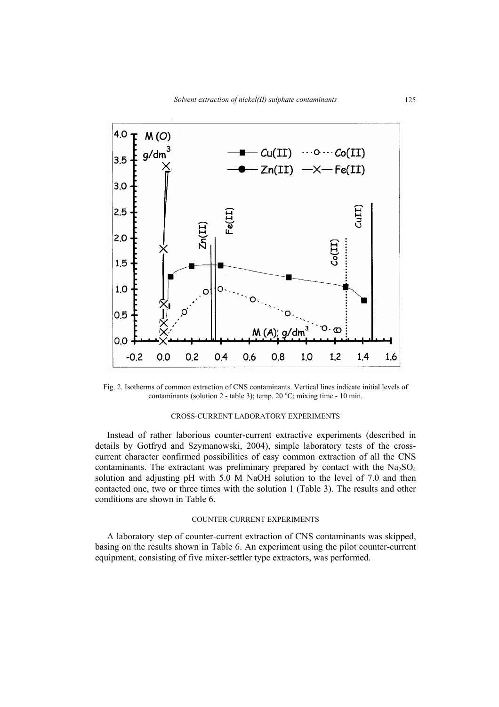

Fig. 2. Isotherms of common extraction of CNS contaminants. Vertical lines indicate initial levels of contaminants (solution  $2$  - table 3); temp.  $20^{\circ}$ C; mixing time - 10 min.

#### CROSS-CURRENT LABORATORY EXPERIMENTS

Instead of rather laborious counter-current extractive experiments (described in details by Gotfryd and Szymanowski, 2004), simple laboratory tests of the crosscurrent character confirmed possibilities of easy common extraction of all the CNS contaminants. The extractant was preliminary prepared by contact with the  $Na<sub>2</sub>SO<sub>4</sub>$ solution and adjusting pH with 5.0 M NaOH solution to the level of 7.0 and then contacted one, two or three times with the solution 1 (Table 3). The results and other conditions are shown in Table 6.

## COUNTER-CURRENT EXPERIMENTS

A laboratory step of counter-current extraction of CNS contaminants was skipped, basing on the results shown in Table 6. An experiment using the pilot counter-current equipment, consisting of five mixer-settler type extractors, was performed.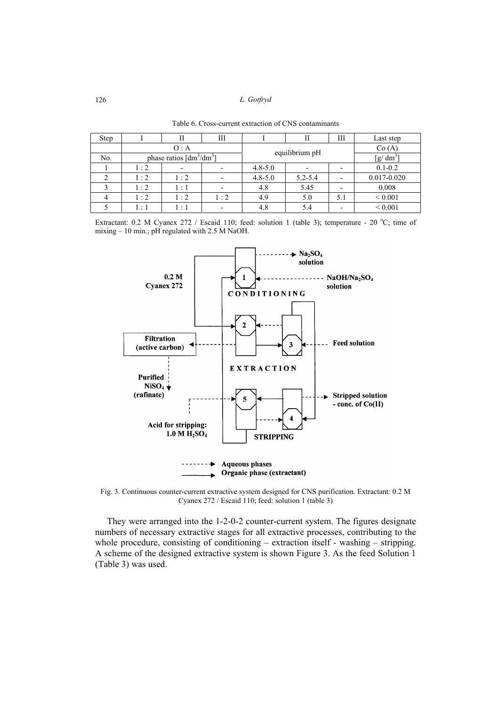| Step |           | П                                     | Ш   |             | П              | Ш                        | Last step       |
|------|-----------|---------------------------------------|-----|-------------|----------------|--------------------------|-----------------|
|      |           | O: A                                  |     |             |                | Co(A)                    |                 |
| No.  |           | phase ratios $\left[dm^3/dm^3\right]$ |     |             | equilibrium pH |                          | $[g/dm^3]$      |
|      | 1:2       |                                       |     | $4.8 - 5.0$ |                | $\overline{\phantom{a}}$ | $0.1 - 0.2$     |
|      | $\cdot$ 2 | 1:2                                   |     | $4.8 - 5.0$ | $5.2 - 5.4$    |                          | $0.017 - 0.020$ |
|      | $\cdot$ 2 | $\cdot$ 1                             |     | 4.8         | 5.45           |                          | 0.008           |
|      | $\cdot$ 2 | 1:2                                   | 1:2 | 4.9         | 5.0            | 5.1                      | ${}< 0.001$     |
|      | $\cdot$ 1 | $\ddot{\phantom{0}}$                  |     | 4.8         | 5.4            |                          | ${}< 0.001$     |

Table 6. Cross-current extraction of CNS contaminants

Extractant: 0.2 M Cyanex 272 / Escaid 110; feed: solution 1 (table 3); temperature - 20 °C; time of mixing – 10 min.; pH regulated with 2.5 M NaOH.



Fig. 3. Continuous counter-current extractive system designed for CNS purification. Extractant: 0.2 M Cyanex 272 / Escaid 110; feed: solution 1 (table 3)

They were arranged into the 1-2-0-2 counter-current system. The figures designate numbers of necessary extractive stages for all extractive processes, contributing to the whole procedure, consisting of conditioning – extraction itself - washing – stripping. A scheme of the designed extractive system is shown Figure 3. As the feed Solution 1 (Table 3) was used.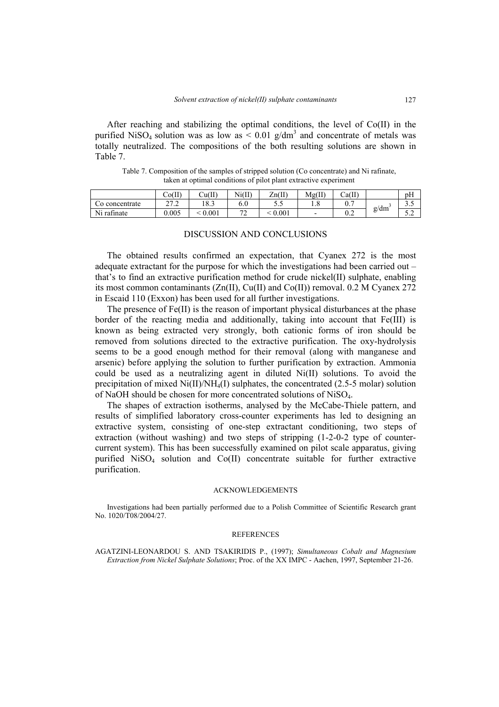After reaching and stabilizing the optimal conditions, the level of  $Co(II)$  in the purified NiSO<sub>4</sub> solution was as low as  $\leq 0.01$  g/dm<sup>3</sup> and concentrate of metals was totally neutralized. The compositions of the both resulting solutions are shown in Table 7.

Table 7. Composition of the samples of stripped solution (Co concentrate) and Ni rafinate, taken at optimal conditions of pilot plant extractive experiment

|                                                   | Co(II)          | Cu(II)       | Ni(II)                        | $\text{Zn(II)}$<br>$\sim$ | Mg(II) | Ca(II) |      | pΗ   |
|---------------------------------------------------|-----------------|--------------|-------------------------------|---------------------------|--------|--------|------|------|
| Co concentrate                                    | 272<br><u>.</u> | 10 າ<br>10.J | $\Omega$<br>6.U               | J.J                       | 1.0    | U.     |      | ر. ر |
| $\mathbf{v}$<br>$\sim$<br>N <sub>1</sub> rafinate | 0.005           | 0.001        | $\overline{\phantom{a}}$<br>∼ | 0.001                     |        | v.∠    | g/dm | J.L  |

## DISCUSSION AND CONCLUSIONS

The obtained results confirmed an expectation, that Cyanex 272 is the most adequate extractant for the purpose for which the investigations had been carried out – that's to find an extractive purification method for crude nickel(II) sulphate, enabling its most common contaminants  $(Zn(II), Cu(II))$  and  $Co(II))$  removal. 0.2 M Cyanex 272 in Escaid 110 (Exxon) has been used for all further investigations.

The presence of Fe(II) is the reason of important physical disturbances at the phase border of the reacting media and additionally, taking into account that Fe(III) is known as being extracted very strongly, both cationic forms of iron should be removed from solutions directed to the extractive purification. The oxy-hydrolysis seems to be a good enough method for their removal (along with manganese and arsenic) before applying the solution to further purification by extraction. Ammonia could be used as a neutralizing agent in diluted Ni(II) solutions. To avoid the precipitation of mixed  $Ni(II)/NH<sub>4</sub>(I)$  sulphates, the concentrated (2.5-5 molar) solution of NaOH should be chosen for more concentrated solutions of NiSO4.

The shapes of extraction isotherms, analysed by the McCabe-Thiele pattern, and results of simplified laboratory cross-counter experiments has led to designing an extractive system, consisting of one-step extractant conditioning, two steps of extraction (without washing) and two steps of stripping  $(1-2-0-2$  type of countercurrent system). This has been successfully examined on pilot scale apparatus, giving purified NiSO<sub>4</sub> solution and Co(II) concentrate suitable for further extractive purification.

#### ACKNOWLEDGEMENTS

Investigations had been partially performed due to a Polish Committee of Scientific Research grant No. 1020/T08/2004/27.

#### REFERENCES

AGATZINI-LEONARDOU S. AND TSAKIRIDIS P., (1997); *Simultaneous Cobalt and Magnesium Extraction from Nickel Sulphate Solutions*; Proc. of the XX IMPC - Aachen, 1997, September 21-26.